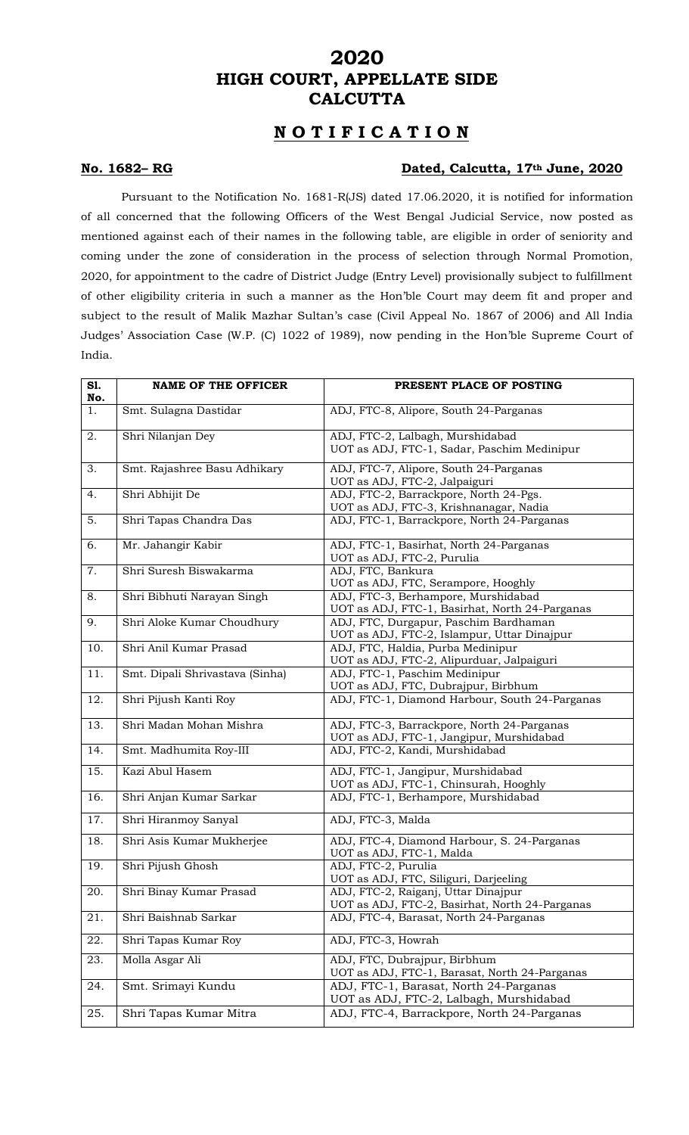## **2020 HIGH COURT, APPELLATE SIDE CALCUTTA**

## **N O T I F I C A T I O N**

### **No. 1682– RG Dated, Calcutta, 17th June, 2020**

Pursuant to the Notification No. 1681-R(JS) dated 17.06.2020, it is notified for information of all concerned that the following Officers of the West Bengal Judicial Service, now posted as mentioned against each of their names in the following table, are eligible in order of seniority and coming under the zone of consideration in the process of selection through Normal Promotion, 2020, for appointment to the cadre of District Judge (Entry Level) provisionally subject to fulfillment of other eligibility criteria in such a manner as the Hon'ble Court may deem fit and proper and subject to the result of Malik Mazhar Sultan's case (Civil Appeal No. 1867 of 2006) and All India Judges' Association Case (W.P. (C) 1022 of 1989), now pending in the Hon'ble Supreme Court of India.

| S1.<br>No.        | <b>NAME OF THE OFFICER</b>      | PRESENT PLACE OF POSTING                                                               |
|-------------------|---------------------------------|----------------------------------------------------------------------------------------|
| 1.                | Smt. Sulagna Dastidar           | ADJ, FTC-8, Alipore, South 24-Parganas                                                 |
| 2.                | Shri Nilanjan Dey               | ADJ, FTC-2, Lalbagh, Murshidabad<br>UOT as ADJ, FTC-1, Sadar, Paschim Medinipur        |
| 3.                | Smt. Rajashree Basu Adhikary    | ADJ, FTC-7, Alipore, South 24-Parganas<br>UOT as ADJ, FTC-2, Jalpaiguri                |
| 4.                | Shri Abhijit De                 | ADJ, FTC-2, Barrackpore, North 24-Pgs.<br>UOT as ADJ, FTC-3, Krishnanagar, Nadia       |
| 5.                | Shri Tapas Chandra Das          | ADJ, FTC-1, Barrackpore, North 24-Parganas                                             |
| 6.                | Mr. Jahangir Kabir              | ADJ, FTC-1, Basirhat, North 24-Parganas<br>UOT as ADJ, FTC-2, Purulia                  |
| 7.                | Shri Suresh Biswakarma          | ADJ, FTC, Bankura<br>UOT as ADJ, FTC, Serampore, Hooghly                               |
| 8.                | Shri Bibhuti Narayan Singh      | ADJ, FTC-3, Berhampore, Murshidabad<br>UOT as ADJ, FTC-1, Basirhat, North 24-Parganas  |
| 9.                | Shri Aloke Kumar Choudhury      | ADJ, FTC, Durgapur, Paschim Bardhaman<br>UOT as ADJ, FTC-2, Islampur, Uttar Dinajpur   |
| 10.               | Shri Anil Kumar Prasad          | ADJ, FTC, Haldia, Purba Medinipur<br>UOT as ADJ, FTC-2, Alipurduar, Jalpaiguri         |
| 11.               | Smt. Dipali Shrivastava (Sinha) | ADJ, FTC-1, Paschim Medinipur<br>UOT as ADJ, FTC, Dubrajpur, Birbhum                   |
| 12.               | Shri Pijush Kanti Roy           | ADJ, FTC-1, Diamond Harbour, South 24-Parganas                                         |
| $\overline{13}$ . | Shri Madan Mohan Mishra         | ADJ, FTC-3, Barrackpore, North 24-Parganas<br>UOT as ADJ, FTC-1, Jangipur, Murshidabad |
| 14.               | Smt. Madhumita Roy-III          | ADJ, FTC-2, Kandi, Murshidabad                                                         |
| 15.               | Kazi Abul Hasem                 | ADJ, FTC-1, Jangipur, Murshidabad<br>UOT as ADJ, FTC-1, Chinsurah, Hooghly             |
| 16.               | Shri Anjan Kumar Sarkar         | ADJ, FTC-1, Berhampore, Murshidabad                                                    |
| $\overline{17}$ . | Shri Hiranmoy Sanyal            | ADJ, FTC-3, Malda                                                                      |
| 18.               | Shri Asis Kumar Mukherjee       | ADJ, FTC-4, Diamond Harbour, S. 24-Parganas<br>UOT as ADJ, FTC-1, Malda                |
| 19.               | Shri Pijush Ghosh               | ADJ, FTC-2, Purulia<br>UOT as ADJ, FTC, Siliguri, Darjeeling                           |
| 20.               | Shri Binay Kumar Prasad         | ADJ, FTC-2, Raiganj, Uttar Dinajpur<br>UOT as ADJ, FTC-2, Basirhat, North 24-Parganas  |
| 21.               | Shri Baishnab Sarkar            | ADJ, FTC-4, Barasat, North 24-Parganas                                                 |
| 22.               | Shri Tapas Kumar Roy            | ADJ, FTC-3, Howrah                                                                     |
| 23.               | Molla Asgar Ali                 | ADJ, FTC, Dubrajpur, Birbhum<br>UOT as ADJ, FTC-1, Barasat, North 24-Parganas          |
| 24.               | Smt. Srimayi Kundu              | ADJ, FTC-1, Barasat, North 24-Parganas<br>UOT as ADJ, FTC-2, Lalbagh, Murshidabad      |
| 25.               | Shri Tapas Kumar Mitra          | ADJ, FTC-4, Barrackpore, North 24-Parganas                                             |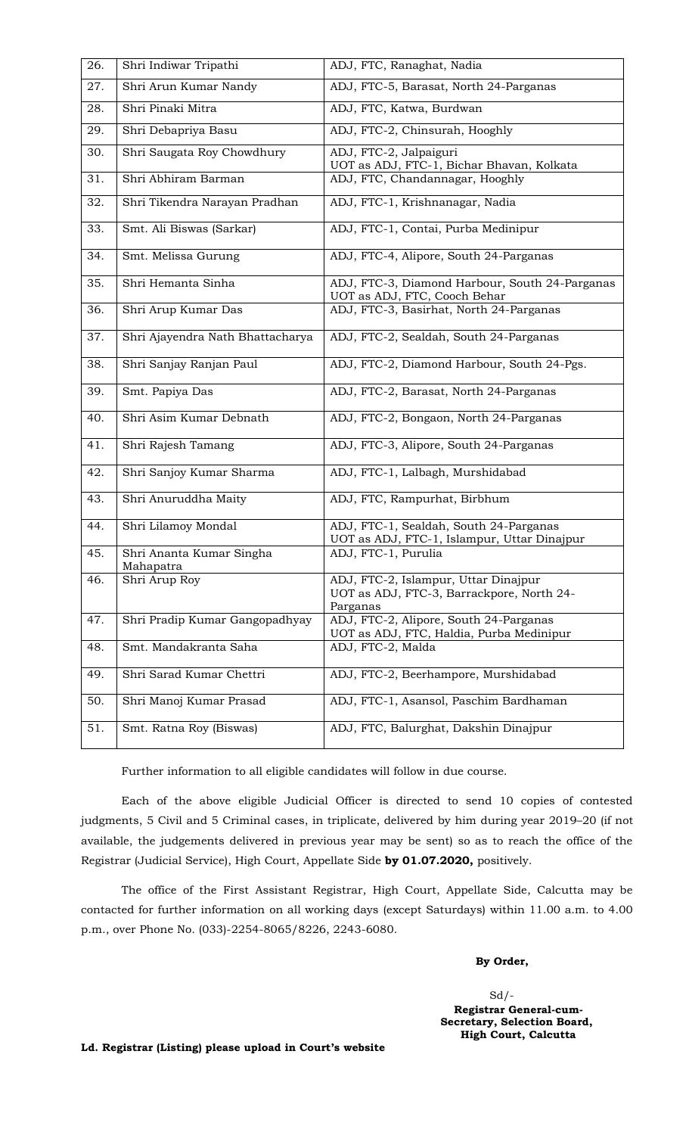| 26. | Shri Indiwar Tripathi                 | ADJ, FTC, Ranaghat, Nadia                                                                     |
|-----|---------------------------------------|-----------------------------------------------------------------------------------------------|
| 27. | Shri Arun Kumar Nandy                 | ADJ, FTC-5, Barasat, North 24-Parganas                                                        |
| 28. | Shri Pinaki Mitra                     | ADJ, FTC, Katwa, Burdwan                                                                      |
| 29. | Shri Debapriya Basu                   | ADJ, FTC-2, Chinsurah, Hooghly                                                                |
| 30. | Shri Saugata Roy Chowdhury            | ADJ, FTC-2, Jalpaiguri<br>UOT as ADJ, FTC-1, Bichar Bhavan, Kolkata                           |
| 31. | Shri Abhiram Barman                   | ADJ, FTC, Chandannagar, Hooghly                                                               |
| 32. | Shri Tikendra Narayan Pradhan         | ADJ, FTC-1, Krishnanagar, Nadia                                                               |
| 33. | Smt. Ali Biswas (Sarkar)              | ADJ, FTC-1, Contai, Purba Medinipur                                                           |
| 34. | Smt. Melissa Gurung                   | ADJ, FTC-4, Alipore, South 24-Parganas                                                        |
| 35. | Shri Hemanta Sinha                    | ADJ, FTC-3, Diamond Harbour, South 24-Parganas<br>UOT as ADJ, FTC, Cooch Behar                |
| 36. | Shri Arup Kumar Das                   | ADJ, FTC-3, Basirhat, North 24-Parganas                                                       |
| 37. | Shri Ajayendra Nath Bhattacharya      | ADJ, FTC-2, Sealdah, South 24-Parganas                                                        |
| 38. | Shri Sanjay Ranjan Paul               | ADJ, FTC-2, Diamond Harbour, South 24-Pgs.                                                    |
| 39. | Smt. Papiya Das                       | ADJ, FTC-2, Barasat, North 24-Parganas                                                        |
| 40. | Shri Asim Kumar Debnath               | ADJ, FTC-2, Bongaon, North 24-Parganas                                                        |
| 41. | Shri Rajesh Tamang                    | ADJ, FTC-3, Alipore, South 24-Parganas                                                        |
| 42. | Shri Sanjoy Kumar Sharma              | ADJ, FTC-1, Lalbagh, Murshidabad                                                              |
| 43. | Shri Anuruddha Maity                  | ADJ, FTC, Rampurhat, Birbhum                                                                  |
| 44. | Shri Lilamoy Mondal                   | ADJ, FTC-1, Sealdah, South 24-Parganas<br>UOT as ADJ, FTC-1, Islampur, Uttar Dinajpur         |
| 45. | Shri Ananta Kumar Singha<br>Mahapatra | ADJ, FTC-1, Purulia                                                                           |
| 46. | Shri Arup Roy                         | ADJ, FTC-2, Islampur, Uttar Dinajpur<br>UOT as ADJ, FTC-3, Barrackpore, North 24-<br>Parganas |
| 47. | Shri Pradip Kumar Gangopadhyay        | ADJ, FTC-2, Alipore, South 24-Parganas<br>UOT as ADJ, FTC, Haldia, Purba Medinipur            |
| 48. | Smt. Mandakranta Saha                 | ADJ, FTC-2, Malda                                                                             |
| 49. | Shri Sarad Kumar Chettri              | ADJ, FTC-2, Beerhampore, Murshidabad                                                          |
| 50. | Shri Manoj Kumar Prasad               | ADJ, FTC-1, Asansol, Paschim Bardhaman                                                        |
| 51. | Smt. Ratna Roy (Biswas)               | ADJ, FTC, Balurghat, Dakshin Dinajpur                                                         |

Further information to all eligible candidates will follow in due course.

Each of the above eligible Judicial Officer is directed to send 10 copies of contested judgments, 5 Civil and 5 Criminal cases, in triplicate, delivered by him during year 2019–20 (if not available, the judgements delivered in previous year may be sent) so as to reach the office of the Registrar (Judicial Service), High Court, Appellate Side **by 01.07.2020,** positively.

The office of the First Assistant Registrar, High Court, Appellate Side, Calcutta may be contacted for further information on all working days (except Saturdays) within 11.00 a.m. to 4.00 p.m., over Phone No. (033)-2254-8065/8226, 2243-6080.

#### **By Order,**